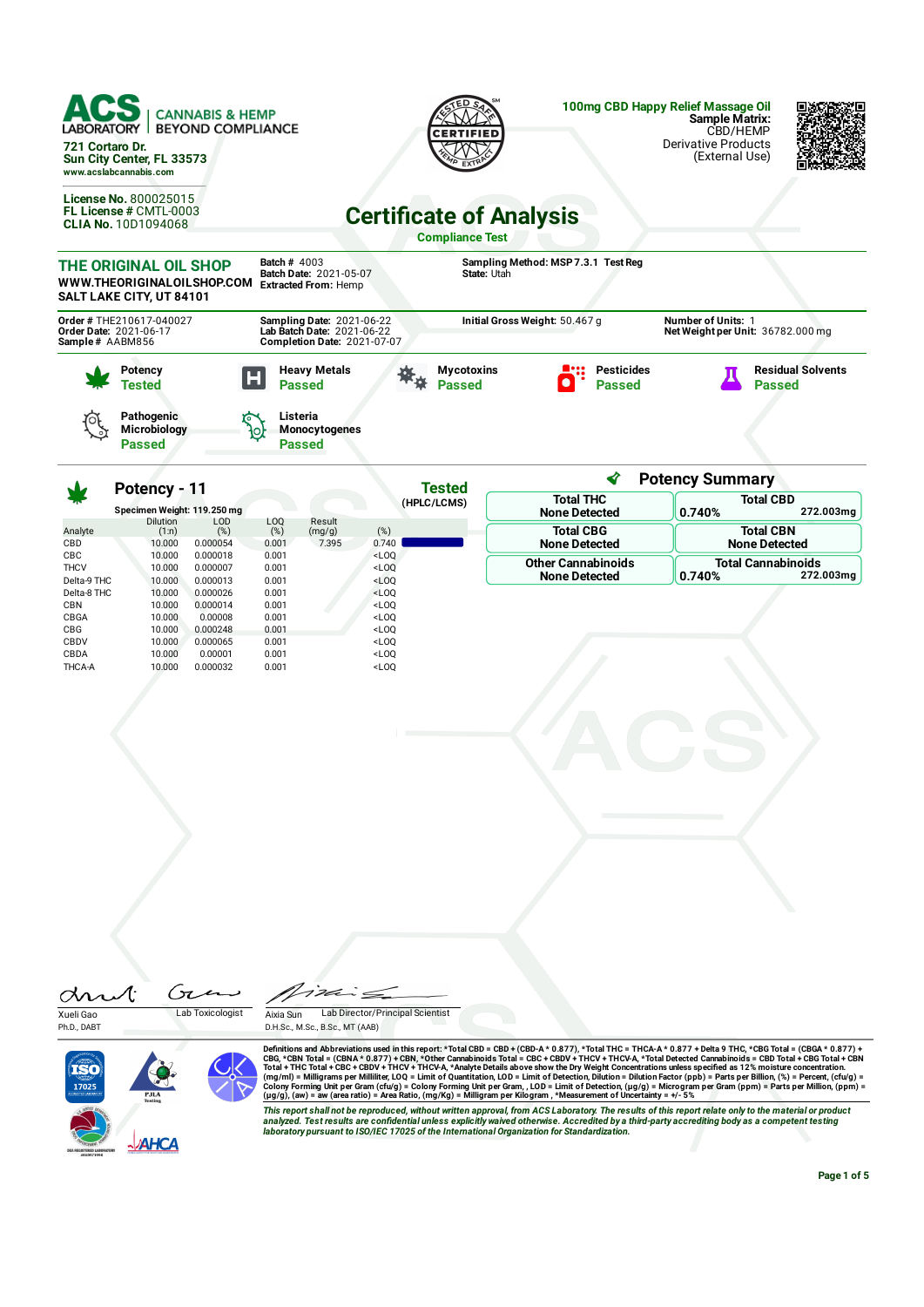| ACS<br><b>CANNABIS &amp; HEMP</b><br>LABORATORY<br><b>BEYOND COMPLIANCE</b><br>721 Cortaro Dr.<br>Sun City Center, FL 33573<br>www.acslabcannabis.com |                                                                                                      | <b>CERTIFIED</b>                                                         | 100mg CBD Happy Relief Massage Oil<br><b>Sample Matrix:</b><br>CBD/HEMP<br><b>Derivative Products</b><br>(External Use) |
|-------------------------------------------------------------------------------------------------------------------------------------------------------|------------------------------------------------------------------------------------------------------|--------------------------------------------------------------------------|-------------------------------------------------------------------------------------------------------------------------|
| <b>License No. 800025015</b><br><b>FL License # CMTL-0003</b><br><b>CLIA No. 10D1094068</b>                                                           |                                                                                                      | <b>Certificate of Analysis</b><br><b>Compliance Test</b>                 |                                                                                                                         |
| THE ORIGINAL OIL SHOP<br>WWW.THEORIGINALOILSHOP.COM<br>SALT LAKE CITY, UT 84101                                                                       | <b>Batch # 4003</b><br><b>Batch Date: 2021-05-07</b><br><b>Extracted From: Hemp</b>                  | Sampling Method: MSP 7.3.1 Test Reg<br>State: Utah                       |                                                                                                                         |
| Order # THE210617-040027<br>Order Date: 2021-06-17<br>Sample# AABM856                                                                                 | <b>Sampling Date: 2021-06-22</b><br>Lab Batch Date: 2021-06-22<br><b>Completion Date: 2021-07-07</b> | Initial Gross Weight: 50.467 g                                           | <b>Number of Units: 1</b><br>Net Weight per Unit: 36782.000 mg                                                          |
| Potency<br>Tested                                                                                                                                     | <b>Heavy Metals</b><br>н<br><b>Passed</b>                                                            | <b>Pesticides</b><br><b>Mycotoxins</b><br><b>Passed</b><br><b>Passed</b> | <b>Residual Solvents</b><br><b>Passed</b>                                                                               |
| <b>Pathogenic</b><br>191                                                                                                                              | Listeria<br>ᢛ                                                                                        |                                                                          |                                                                                                                         |

| <b>No.</b>                               | Potency - 11                         |                                             |                                  |                           | Tested                                                                    | ◀                                                 | <b>Potency Summary</b>                           |
|------------------------------------------|--------------------------------------|---------------------------------------------|----------------------------------|---------------------------|---------------------------------------------------------------------------|---------------------------------------------------|--------------------------------------------------|
|                                          | Specimen Weight: 119.250 mg          |                                             |                                  |                           | (HPLC/LCMS)                                                               | <b>Total THC</b><br><b>None Detected</b>          | <b>Total CBD</b><br>272.003mg<br>0.740%          |
| Analyte<br><b>CBD</b>                    | <b>Dilution</b><br>(1:n)<br>10,000   | LOD<br>(%)<br>0.000054                      | LOQ<br>(%)<br>0.001              | Result<br>(mg/g)<br>7.395 | (%)<br>0.740                                                              | <b>Total CBG</b><br><b>None Detected</b>          | <b>Total CBN</b><br><b>None Detected</b>         |
| <b>CBC</b><br><b>THCV</b><br>Delta-9 THC | 10.000<br>10.000<br>10.000           | 0.000018<br>0.000007<br>0.000013            | 0.001<br>0.001<br>0.001          |                           | $<$ LOO<br>$<$ LOQ<br>$<$ LOO                                             | <b>Other Cannabinoids</b><br><b>None Detected</b> | <b>Total Cannabinoids</b><br>272.003mg<br>0.740% |
| Delta-8 THC<br><b>CBN</b><br>CBGA        | 10,000<br>10.000<br>10.000           | 0.000026<br>0.000014<br>0.00008             | 0.001<br>0.001<br>0.001          |                           | $<$ LOQ<br>$<$ LOO<br>$<$ LOO                                             |                                                   |                                                  |
| <b>CBG</b><br>CBDV<br>CBDA<br>THCA-A     | 10.000<br>10.000<br>10.000<br>10.000 | 0.000248<br>0.000065<br>0.00001<br>0.000032 | 0.001<br>0.001<br>0.001<br>0.001 |                           | $<$ LOO<br><loq<br><math>&lt;</math>LOO<br/><math>&lt;</math>LOQ</loq<br> |                                                   |                                                  |

drut Gen Xueli Gao Lab Toxicologist

**Microbiology Passed**

Ph.D., DABT



゚゚゚゚゚゚゚゚゙゙゚゚゙゙゚゚゚゙  $\dot{\tilde{}}$ 

**Monocytogenes Passed**

Aixia Sun Lab Director/Principal Scientist D.H.Sc., M.Sc., B.Sc., MT (AAB)

Definitions and Abbreviations used in this report: \*Total CBD = CBD + (CBD-A \* 0.877), \*Total THC = THCA-A \* 0.877) + Delta 9 THC, \*CBG Total = (CBGA \* 0.877) +<br>CBG, \*CBN Total = (CBNA \* 0.877) + CBN, \*Other Cannabinoids T

This report shall not be reproduced, without written approval, from ACS Laboratory. The results of this report relate only to the material or product<br>analyzed. Test results are confidential unless explicitly waived otherwi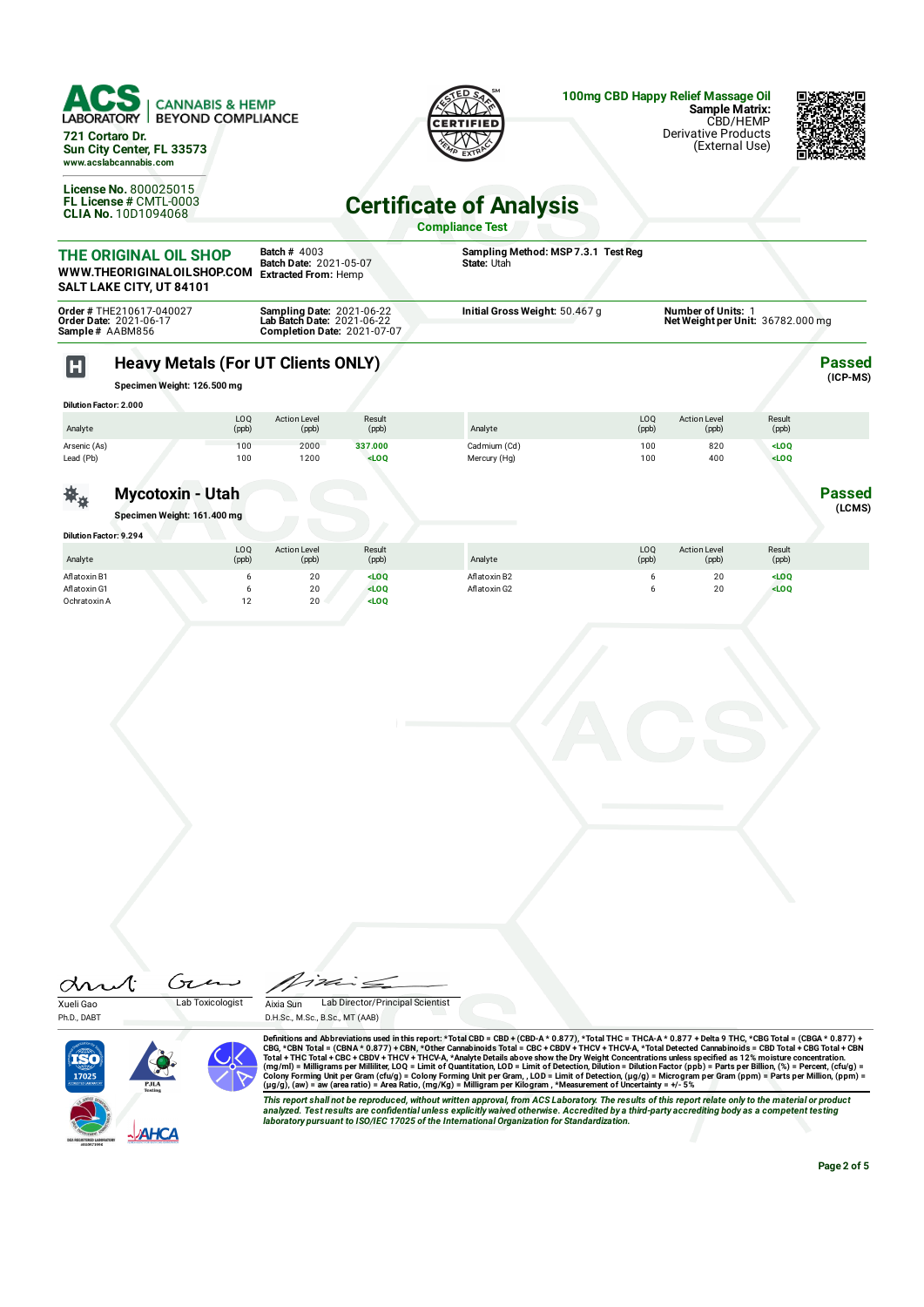

| <b>Dilution Factor: 2.000</b> |              |                              |                 |              |              |                              |                 |  |
|-------------------------------|--------------|------------------------------|-----------------|--------------|--------------|------------------------------|-----------------|--|
| Analyte                       | LOQ<br>(ppb) | <b>Action Level</b><br>(ppb) | Result<br>(ppb) | Analyte      | LOQ<br>(ppb) | <b>Action Level</b><br>(ppb) | Result<br>(ppb) |  |
| Arsenic (As)                  | 100          | 2000                         | 337.000         | Cadmium (Cd) | 100          | 820                          | $<$ LOO         |  |
| Lead (Pb)                     | 100          | 1200                         | $<$ LOQ         | Mercury (Hg) | 100          | 400                          | $<$ LOO         |  |
|                               |              |                              |                 |              |              |                              |                 |  |

## **Mycotoxin - Utah**

**Specimen Weight: 161.400 mg**

茶 $\ast$ 

| <b>Dilution Factor: 9.294</b> |              |                              |                 |              |              |                              |                 |  |
|-------------------------------|--------------|------------------------------|-----------------|--------------|--------------|------------------------------|-----------------|--|
| Analyte                       | LOQ<br>(ppb) | <b>Action Level</b><br>(ppb) | Result<br>(ppb) | Analyte      | LOQ<br>(ppb) | <b>Action Level</b><br>(ppb) | Result<br>(ppb) |  |
| Aflatoxin B1                  |              | 20                           | $<$ LOQ         | Aflatoxin B2 |              | 20                           | $<$ LOQ         |  |
| Aflatoxin G1                  |              | 20                           | $<$ LOQ         | Aflatoxin G2 |              | 20                           | $<$ LOQ         |  |
| Ochratoxin A                  |              | 20                           | $<$ LOQ         |              |              |                              |                 |  |



Definitions and Abbreviations used in this report: \*Total CBD = CBD + (CBD-A \* 0.877), \*Total THC = THCA-A \* 0.877) + Delta 9 THC, \*CBG Total = (CBGA \* 0.877) + Total THC = THCA-A \* 0.877) + Total THC = THCA-A \* 0.877 + De

This report shall not be reproduced, without written approval, from ACS Laboratory. The results of this report relate only to the material or product<br>analyzed. Test results are confidential unless explicitly waived otherwi *laboratory pursuant to ISO/IEC 17025 of the International Organization for Standardization.*

**Page 2 of 5**

**Passed (LCMS)**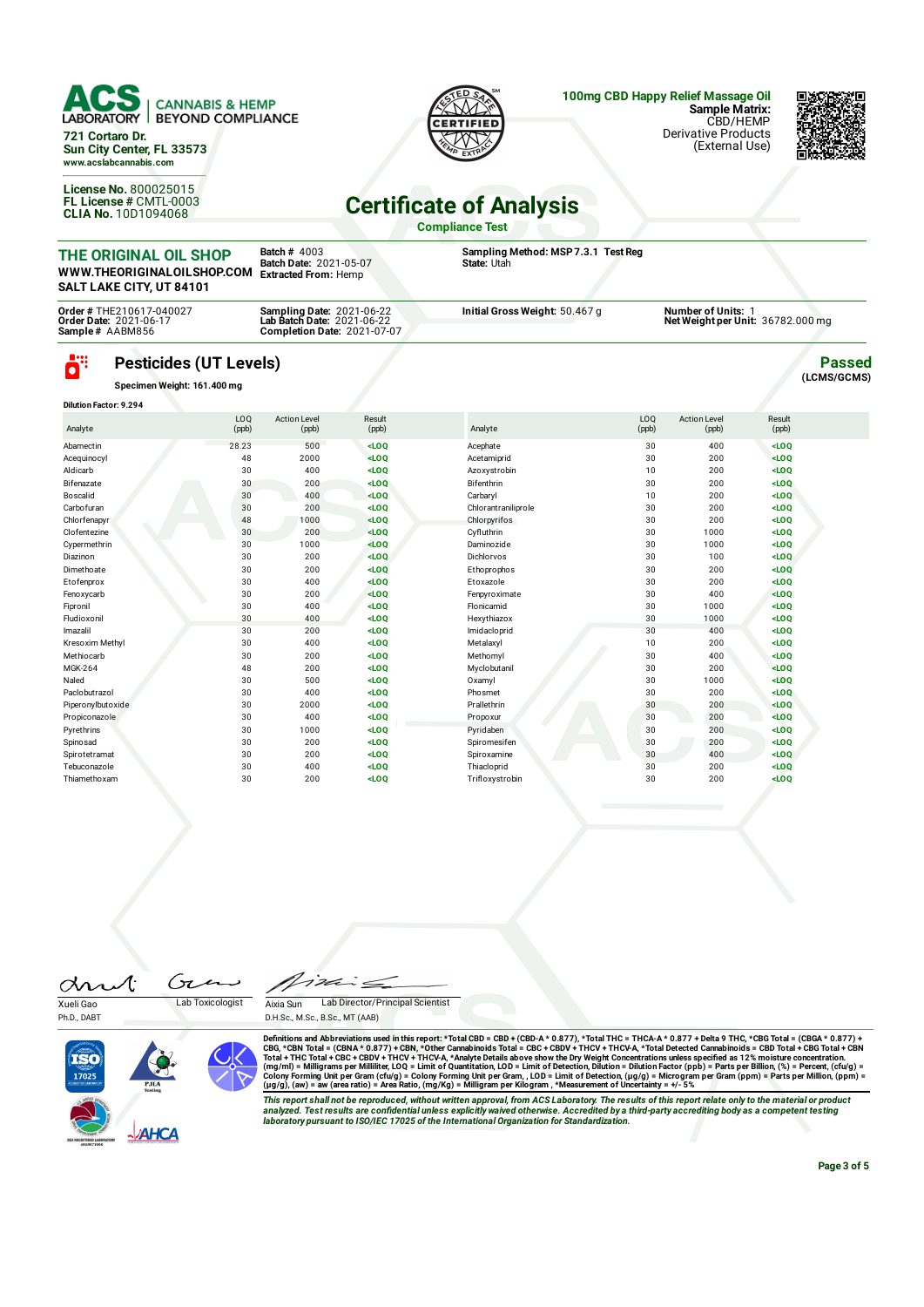

| <b>Completion Date: 2021-07-07</b> | Initial Gross Weight: 50.467 g<br>Order Date: 2021-06-17<br>Net Weight per Unit: 36782.000 mg<br><b>Lab Batch Date: 2021-06-22</b><br>Sample# AABM856 |
|------------------------------------|-------------------------------------------------------------------------------------------------------------------------------------------------------|
|------------------------------------|-------------------------------------------------------------------------------------------------------------------------------------------------------|

## ö **Pesticides (UT Levels)**

**Specimen Weight: 161.400 mg**

| <b>Dilution Factor: 9.294</b> |                          |                              |                 |                     |              |                              |                 |  |
|-------------------------------|--------------------------|------------------------------|-----------------|---------------------|--------------|------------------------------|-----------------|--|
| Analyte                       | LO <sub>0</sub><br>(ppb) | <b>Action Level</b><br>(ppb) | Result<br>(ppb) | Analyte             | LOQ<br>(ppb) | <b>Action Level</b><br>(ppb) | Result<br>(ppb) |  |
| Abamectin                     | 28.23                    | 500                          | LOO             | Acephate            | 30           | 400                          | $<$ LOO         |  |
| Acequinocyl                   | 48                       | 2000                         | $<$ LOQ         | Acetamiprid         | 30           | 200                          | $<$ LOO         |  |
| Aldicarb                      | 30                       | 400                          | $<$ LOQ         | Azoxystrobin        | 10           | 200                          | $<$ LOQ         |  |
| Bifenazate                    | 30                       | 200                          | LOO             | Bifenthrin          | 30           | 200                          | $<$ LOQ         |  |
| Boscalid                      | 30                       | 400                          | $<$ LOQ         | Carbaryl            | 10           | 200                          | $<$ LOQ         |  |
| Carbofuran                    | 30                       | 200                          | $<$ LOQ         | Chlorantraniliprole | 30           | 200                          | $<$ LOO         |  |
| Chlorfenapyr                  | 48                       | 1000                         | LOO             | Chlorpyrifos        | 30           | 200                          | $<$ LOQ         |  |
| Clofentezine                  | 30                       | 200                          | $<$ LOQ         | Cyfluthrin          | 30           | 1000                         | $<$ LOQ         |  |
| Cypermethrin                  | 30                       | 1000                         | LOO             | Daminozide          | 30           | 1000                         | $<$ LOQ         |  |
| Diazinon                      | 30                       | 200                          | LOO             | Dichlorvos          | 30           | 100                          | $<$ LOO         |  |
| Dimethoate                    | 30                       | 200                          | $<$ LOQ         | Ethoprophos         | 30           | 200                          | $<$ LOQ         |  |
| Etofenprox                    | 30                       | 400                          | LOO             | Etoxazole           | 30           | 200                          | $<$ LOO         |  |
| Fenoxycarb                    | 30                       | 200                          | $<$ LOQ         | Fenpyroximate       | 30           | 400                          | $<$ LOQ         |  |
| Fipronil                      | 30                       | 400                          | $<$ LOQ         | Flonicamid          | 30           | 1000                         | $<$ LOQ         |  |
| Fludioxonil                   | 30                       | 400                          | $<$ LOQ         | Hexythiazox         | 30           | 1000                         | $<$ LOO         |  |
| Imazalil                      | 30                       | 200                          | $<$ LOQ         | Imidacloprid        | 30           | 400                          | $<$ LOQ         |  |
| Kresoxim Methyl               | 30                       | 400                          | $<$ LOQ         | Metalaxyl           | 10           | 200                          | $<$ LOQ         |  |
| Methiocarb                    | 30                       | 200                          | $<$ LOQ         | Methomyl            | 30           | 400                          | $<$ LOO         |  |
| MGK-264                       | 48                       | 200                          | $<$ LOQ         | Myclobutanil        | 30           | 200                          | $<$ LOQ         |  |
| Naled                         | 30                       | 500                          | $<$ LOQ         | Oxamyl              | 30           | 1000                         | $<$ LOO         |  |
| Paclobutrazol                 | 30                       | 400                          | $<$ LOQ         | Phosmet             | 30           | 200                          | LOO             |  |
| Piperonylbutoxide             | 30                       | 2000                         | $<$ LOQ         | Prallethrin         | 30           | 200                          | $<$ LOQ         |  |
| Propiconazole                 | 30                       | 400                          | $<$ LOQ         | Propoxur            | 30           | 200                          | $<$ LOQ         |  |
| Pyrethrins                    | 30                       | 1000                         | $<$ LOQ         | Pyridaben           | 30           | 200                          | $<$ LOQ         |  |
| Spinosad                      | 30                       | 200                          | $<$ LOQ         | Spiromesifen        | 30           | 200                          | $<$ LOO         |  |
| Spirotetramat                 | 30                       | 200                          | $<$ LOQ         | Spiroxamine         | 30           | 400                          | $<$ LOQ         |  |
| Tebuconazole                  | 30                       | 400                          | $<$ LOQ         | Thiacloprid         | 30           | 200                          | $<$ LOQ         |  |
| Thiamethoxam                  | 30                       | 200                          | $<$ LOQ         | Trifloxystrobin     | 30           | 200                          | $<$ LOQ         |  |

drut Xueli Gao Lab Toxicologist

Ph.D., DART

TS0





Definitions and Abbreviations used in this report: \*Total CBD = CBD + (CBD-A \* 0.877), \*Total THC = THCA-A \* 0.877) + Delta 9 THC, \*CBG Total = (CBGA \* 0.877) + Total THC = THCA-A \* 0.877) + Total THC = THCA-A \* 0.877 + De

This report shall not be reproduced, without written approval, from ACS Laboratory. The results of this report relate only to the material or product<br>analyzed. Test results are confidential unless explicitly waived otherwi

**Passed (LCMS/GCMS)**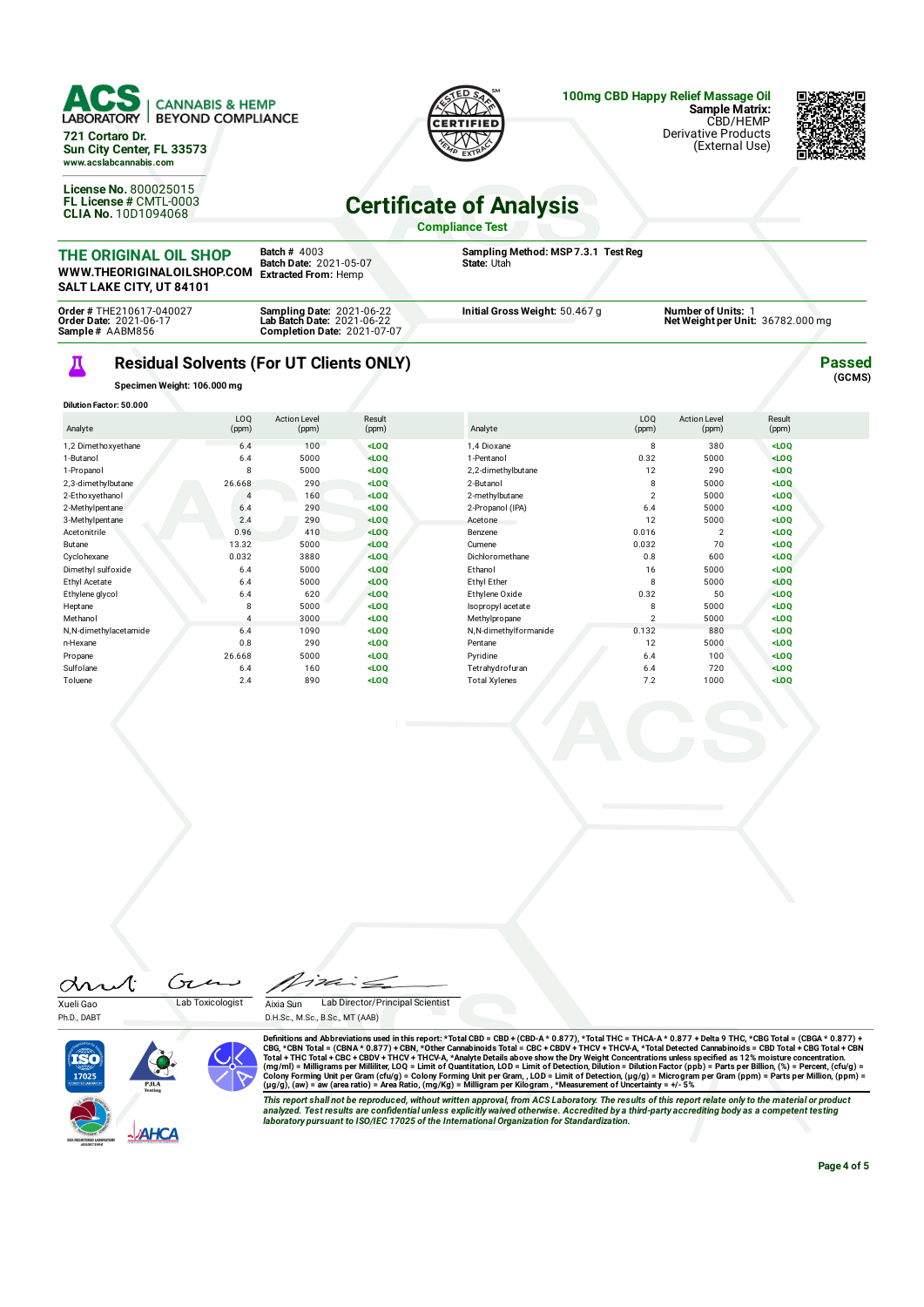

## Д **Residual Solvents (For UT Clients ONLY)**

**Completion Date:** 2021-07-07

**Specimen Weight: 106.000 mg**

**Order Date:** 2021-06-17 **Sample #** AABM856

| <b>Dilution Factor: 50.000</b> |                |                              |                 |                       |                |                              |                 |  |
|--------------------------------|----------------|------------------------------|-----------------|-----------------------|----------------|------------------------------|-----------------|--|
| Analyte                        | LOQ<br>(ppm)   | <b>Action Level</b><br>(ppm) | Result<br>(ppm) | Analyte               | LOQ<br>(ppm)   | <b>Action Level</b><br>(ppm) | Result<br>(ppm) |  |
| 1,2 Dimethoxyethane            | 6.4            | 100                          | $<$ LOQ         | 1,4 Dioxane           | 8              | 380                          | $<$ LOQ         |  |
| 1-Butanol                      | 6.4            | 5000                         | $<$ LOQ         | 1-Pentanol            | 0.32           | 5000                         | $<$ LOQ         |  |
| 1-Propanol                     | 8              | 5000                         | $<$ LOQ         | 2,2-dimethylbutane    | 12             | 290                          | $<$ LOQ         |  |
| 2,3-dimethylbutane             | 26.668         | 290                          | LOO             | 2-Butanol             | 8              | 5000                         | LOO             |  |
| 2-Ethoxyethanol                | 4              | 160                          | $<$ LOQ         | 2-methylbutane        | $\overline{2}$ | 5000                         | $<$ LOQ         |  |
| 2-Methylpentane                | 6.4            | 290                          | $<$ LOQ         | 2-Propanol (IPA)      | 6.4            | 5000                         | $<$ LOQ         |  |
| 3-Methylpentane                | 2.4            | 290                          | LOO             | Acetone               | 12             | 5000                         | $<$ LOQ         |  |
| Acetonitrile                   | 0.96           | 410                          | LOO             | Benzene               | 0.016          | $\overline{2}$               | $<$ LOQ         |  |
| Butane                         | 13.32          | 5000                         | $<$ LOQ         | Cumene                | 0.032          | 70                           | $<$ LOQ         |  |
| Cyclohexane                    | 0.032          | 3880                         | LOO             | Dichloromethane       | 0.8            | 600                          | LOO             |  |
| Dimethyl sulfoxide             | 6.4            | 5000                         | $<$ LOQ         | Ethanol               | 16             | 5000                         | $<$ LOQ         |  |
| Ethyl Acetate                  | 6.4            | 5000                         | $<$ LOQ         | Ethyl Ether           | 8              | 5000                         | $<$ LOQ         |  |
| Ethylene glycol                | 6.4            | 620                          | LOO             | Ethylene Oxide        | 0.32           | 50                           | $<$ LOQ         |  |
| Heptane                        | 8              | 5000                         | $<$ LOQ         | Isopropyl acetate     | 8              | 5000                         | $<$ LOQ         |  |
| Methanol                       | $\overline{4}$ | 3000                         | $<$ LOQ         | Methylpropane         | $\mathfrak{p}$ | 5000                         | $<$ LOQ         |  |
| N,N-dimethylacetamide          | 6.4            | 1090                         | $<$ LOQ         | N,N-dimethylformanide | 0.132          | 880                          | $<$ LOQ         |  |
| n-Hexane                       | 0.8            | 290                          | $<$ LOQ         | Pentane               | 12             | 5000                         | $<$ LOQ         |  |
| Propane                        | 26.668         | 5000                         | $<$ LOQ         | Pyridine              | 6.4            | 100                          | $<$ LOQ         |  |
| Sulfolane                      | 6.4            | 160                          | $<$ LOQ         | Tetrahydrofuran       | 6.4            | 720                          | $<$ LOQ         |  |
| Toluene                        | 2.4            | 890                          | $<$ LOQ         | <b>Total Xylenes</b>  | 7.2            | 1000                         | $<$ LOQ         |  |

drut Ćπ Xueli Gao Lab Toxicologist

Ph.D., DART



Aixia Sun Lab Director/Principal Scientist D.H.Sc., M.Sc., B.Sc., MT (AAB)

Definitions and Abbreviations used in this report: \*Total CBD = CBD + (CBD-A \* 0.877), \*Total THC = THCA-A \* 0.877) + Delta 9 THC, \*CBG Total = (CBGA \* 0.877) + Total THC = THCA-A \* 0.877) + Total THC = THCA-A \* 0.877 + De

This report shall not be reproduced, without written approval, from ACS Laboratory. The results of this report relate only to the material or product<br>analyzed. Test results are confidential unless explicitly waived otherwi *laboratory pursuant to ISO/IEC 17025 of the International Organization for Standardization.*

**Net Weight per Unit:** 36782.000 mg

**Passed (GCMS)**